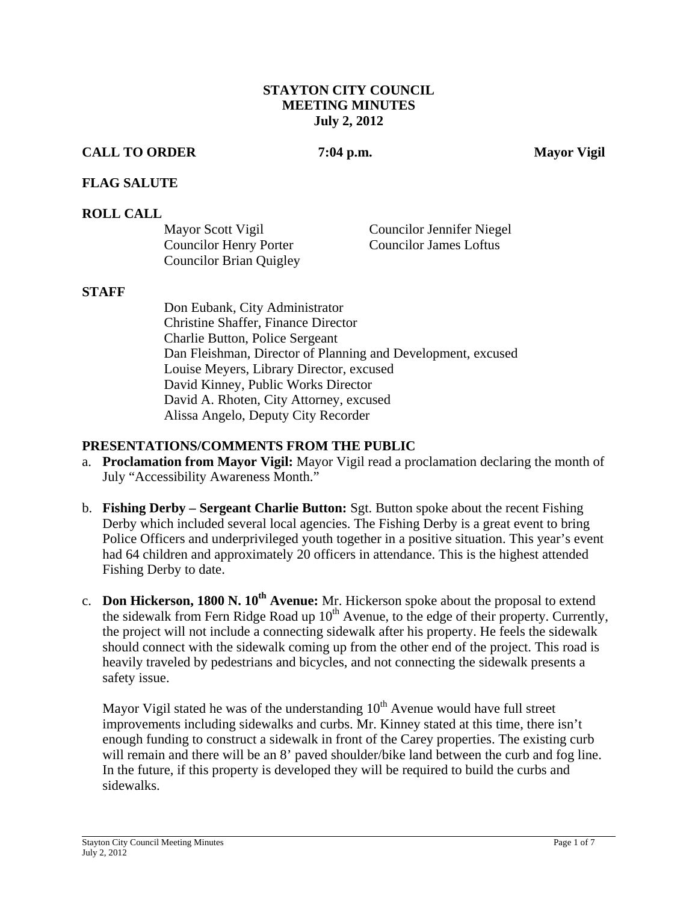#### **STAYTON CITY COUNCIL MEETING MINUTES July 2, 2012**

## **CALL TO ORDER 7:04 p.m. Mayor Vigil**

## **FLAG SALUTE**

#### **ROLL CALL**

| Mayor Scott Vigil              | <b>Councilor Jennifer Niegel</b> |
|--------------------------------|----------------------------------|
| <b>Councilor Henry Porter</b>  | <b>Councilor James Loftus</b>    |
| <b>Councilor Brian Quigley</b> |                                  |

#### **STAFF**

Don Eubank, City Administrator Christine Shaffer, Finance Director Charlie Button, Police Sergeant Dan Fleishman, Director of Planning and Development, excused Louise Meyers, Library Director, excused David Kinney, Public Works Director David A. Rhoten, City Attorney, excused Alissa Angelo, Deputy City Recorder

#### **PRESENTATIONS/COMMENTS FROM THE PUBLIC**

- a. **Proclamation from Mayor Vigil:** Mayor Vigil read a proclamation declaring the month of July "Accessibility Awareness Month."
- b. **Fishing Derby Sergeant Charlie Button:** Sgt. Button spoke about the recent Fishing Derby which included several local agencies. The Fishing Derby is a great event to bring Police Officers and underprivileged youth together in a positive situation. This year's event had 64 children and approximately 20 officers in attendance. This is the highest attended Fishing Derby to date.
- c. **Don Hickerson, 1800 N. 10th Avenue:** Mr. Hickerson spoke about the proposal to extend the sidewalk from Fern Ridge Road up  $10<sup>th</sup>$  Avenue, to the edge of their property. Currently, the project will not include a connecting sidewalk after his property. He feels the sidewalk should connect with the sidewalk coming up from the other end of the project. This road is heavily traveled by pedestrians and bicycles, and not connecting the sidewalk presents a safety issue.

Mayor Vigil stated he was of the understanding  $10<sup>th</sup>$  Avenue would have full street improvements including sidewalks and curbs. Mr. Kinney stated at this time, there isn't enough funding to construct a sidewalk in front of the Carey properties. The existing curb will remain and there will be an 8' paved shoulder/bike land between the curb and fog line. In the future, if this property is developed they will be required to build the curbs and sidewalks.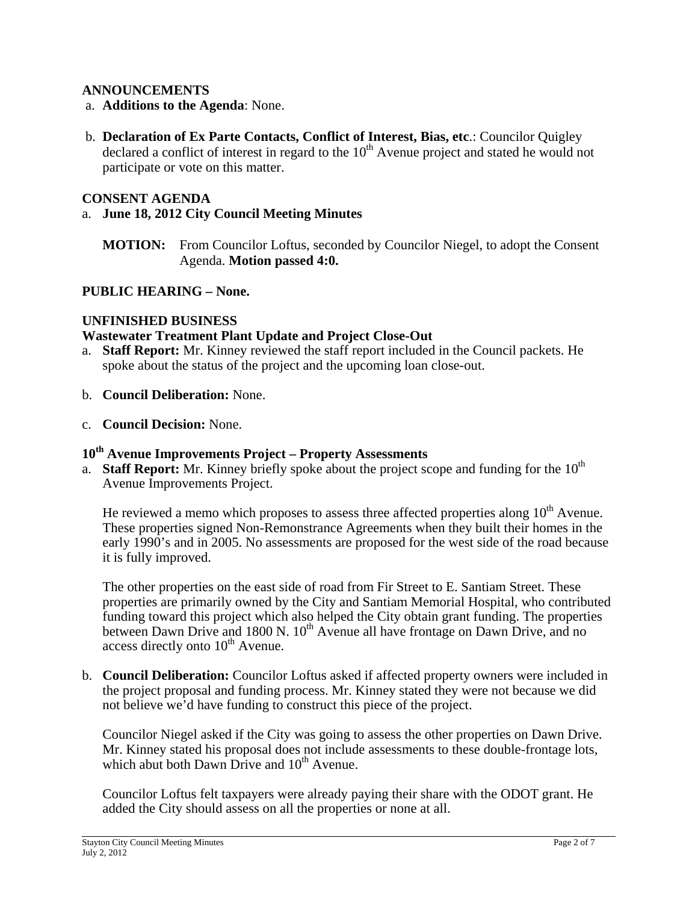## **ANNOUNCEMENTS**

- a. **Additions to the Agenda**: None.
- b. **Declaration of Ex Parte Contacts, Conflict of Interest, Bias, etc**.: Councilor Quigley declared a conflict of interest in regard to the  $10<sup>th</sup>$  Avenue project and stated he would not participate or vote on this matter.

#### **CONSENT AGENDA**

## a. **June 18, 2012 City Council Meeting Minutes**

**MOTION:** From Councilor Loftus, seconded by Councilor Niegel, to adopt the Consent Agenda. **Motion passed 4:0.**

## **PUBLIC HEARING – None.**

## **UNFINISHED BUSINESS**

## **Wastewater Treatment Plant Update and Project Close-Out**

- a. **Staff Report:** Mr. Kinney reviewed the staff report included in the Council packets. He spoke about the status of the project and the upcoming loan close-out.
- b. **Council Deliberation:** None.
- c. **Council Decision:** None.

## **10th Avenue Improvements Project – Property Assessments**

a. **Staff Report:** Mr. Kinney briefly spoke about the project scope and funding for the  $10<sup>th</sup>$ Avenue Improvements Project.

He reviewed a memo which proposes to assess three affected properties along  $10<sup>th</sup>$  Avenue. These properties signed Non-Remonstrance Agreements when they built their homes in the early 1990's and in 2005. No assessments are proposed for the west side of the road because it is fully improved.

The other properties on the east side of road from Fir Street to E. Santiam Street. These properties are primarily owned by the City and Santiam Memorial Hospital, who contributed funding toward this project which also helped the City obtain grant funding. The properties between Dawn Drive and 1800 N. 10<sup>th</sup> Avenue all have frontage on Dawn Drive, and no access directly onto  $10^{th}$  Avenue.

b. **Council Deliberation:** Councilor Loftus asked if affected property owners were included in the project proposal and funding process. Mr. Kinney stated they were not because we did not believe we'd have funding to construct this piece of the project.

Councilor Niegel asked if the City was going to assess the other properties on Dawn Drive. Mr. Kinney stated his proposal does not include assessments to these double-frontage lots, which abut both Dawn Drive and  $10^{th}$  Avenue.

Councilor Loftus felt taxpayers were already paying their share with the ODOT grant. He added the City should assess on all the properties or none at all.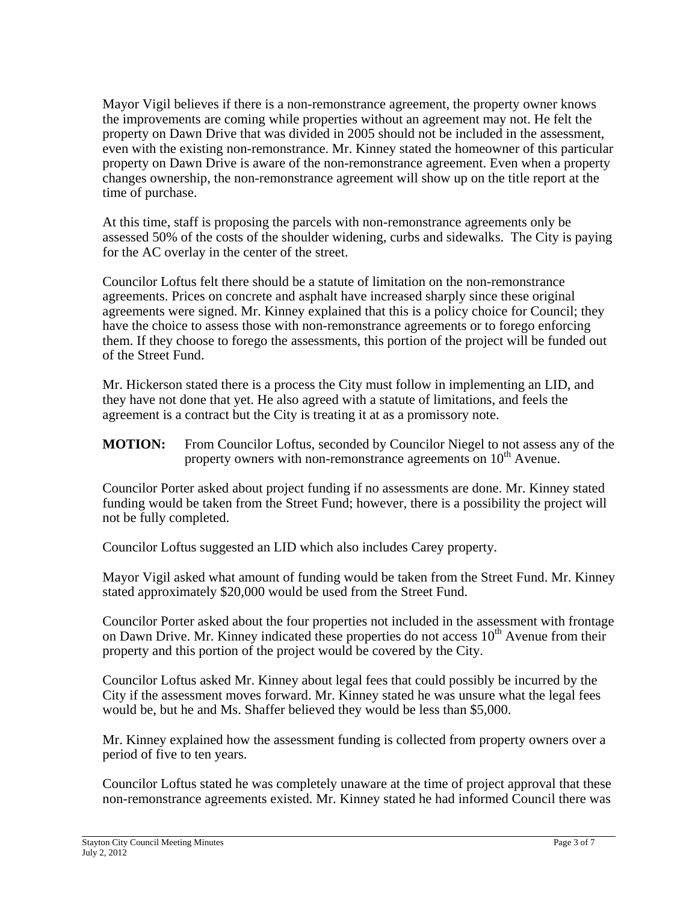Mayor Vigil believes if there is a non-remonstrance agreement, the property owner knows the improvements are coming while properties without an agreement may not. He felt the property on Dawn Drive that was divided in 2005 should not be included in the assessment, even with the existing non-remonstrance. Mr. Kinney stated the homeowner of this particular property on Dawn Drive is aware of the non-remonstrance agreement. Even when a property changes ownership, the non-remonstrance agreement will show up on the title report at the time of purchase.

At this time, staff is proposing the parcels with non-remonstrance agreements only be assessed 50% of the costs of the shoulder widening, curbs and sidewalks. The City is paying for the AC overlay in the center of the street.

Councilor Loftus felt there should be a statute of limitation on the non-remonstrance agreements. Prices on concrete and asphalt have increased sharply since these original agreements were signed. Mr. Kinney explained that this is a policy choice for Council; they have the choice to assess those with non-remonstrance agreements or to forego enforcing them. If they choose to forego the assessments, this portion of the project will be funded out of the Street Fund.

Mr. Hickerson stated there is a process the City must follow in implementing an LID, and they have not done that yet. He also agreed with a statute of limitations, and feels the agreement is a contract but the City is treating it at as a promissory note.

**MOTION:** From Councilor Loftus, seconded by Councilor Niegel to not assess any of the property owners with non-remonstrance agreements on  $10<sup>th</sup>$  Avenue.

Councilor Porter asked about project funding if no assessments are done. Mr. Kinney stated funding would be taken from the Street Fund; however, there is a possibility the project will not be fully completed.

Councilor Loftus suggested an LID which also includes Carey property.

Mayor Vigil asked what amount of funding would be taken from the Street Fund. Mr. Kinney stated approximately \$20,000 would be used from the Street Fund.

Councilor Porter asked about the four properties not included in the assessment with frontage on Dawn Drive. Mr. Kinney indicated these properties do not access  $10<sup>th</sup>$  Avenue from their property and this portion of the project would be covered by the City.

Councilor Loftus asked Mr. Kinney about legal fees that could possibly be incurred by the City if the assessment moves forward. Mr. Kinney stated he was unsure what the legal fees would be, but he and Ms. Shaffer believed they would be less than \$5,000.

Mr. Kinney explained how the assessment funding is collected from property owners over a period of five to ten years.

Councilor Loftus stated he was completely unaware at the time of project approval that these non-remonstrance agreements existed. Mr. Kinney stated he had informed Council there was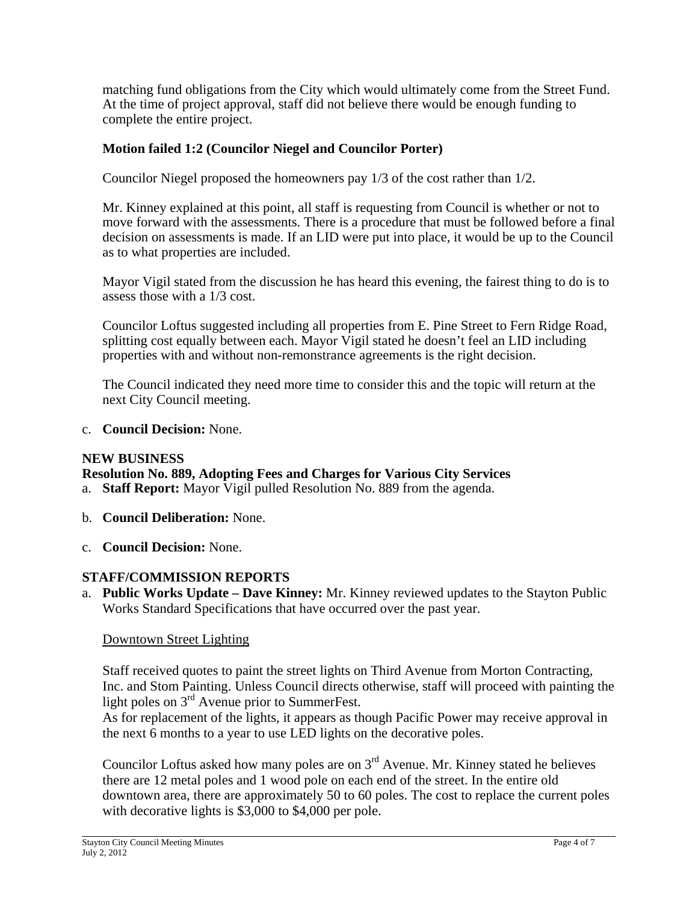matching fund obligations from the City which would ultimately come from the Street Fund. At the time of project approval, staff did not believe there would be enough funding to complete the entire project.

## **Motion failed 1:2 (Councilor Niegel and Councilor Porter)**

Councilor Niegel proposed the homeowners pay 1/3 of the cost rather than 1/2.

Mr. Kinney explained at this point, all staff is requesting from Council is whether or not to move forward with the assessments. There is a procedure that must be followed before a final decision on assessments is made. If an LID were put into place, it would be up to the Council as to what properties are included.

Mayor Vigil stated from the discussion he has heard this evening, the fairest thing to do is to assess those with a 1/3 cost.

Councilor Loftus suggested including all properties from E. Pine Street to Fern Ridge Road, splitting cost equally between each. Mayor Vigil stated he doesn't feel an LID including properties with and without non-remonstrance agreements is the right decision.

The Council indicated they need more time to consider this and the topic will return at the next City Council meeting.

c. **Council Decision:** None.

#### **NEW BUSINESS**

**Resolution No. 889, Adopting Fees and Charges for Various City Services**  a. **Staff Report:** Mayor Vigil pulled Resolution No. 889 from the agenda.

- b. **Council Deliberation:** None.
- c. **Council Decision:** None.

## **STAFF/COMMISSION REPORTS**

a. **Public Works Update – Dave Kinney:** Mr. Kinney reviewed updates to the Stayton Public Works Standard Specifications that have occurred over the past year.

#### Downtown Street Lighting

Staff received quotes to paint the street lights on Third Avenue from Morton Contracting, Inc. and Stom Painting. Unless Council directs otherwise, staff will proceed with painting the light poles on 3rd Avenue prior to SummerFest.

As for replacement of the lights, it appears as though Pacific Power may receive approval in the next 6 months to a year to use LED lights on the decorative poles.

Councilor Loftus asked how many poles are on  $3<sup>rd</sup>$  Avenue. Mr. Kinney stated he believes there are 12 metal poles and 1 wood pole on each end of the street. In the entire old downtown area, there are approximately 50 to 60 poles. The cost to replace the current poles with decorative lights is \$3,000 to \$4,000 per pole.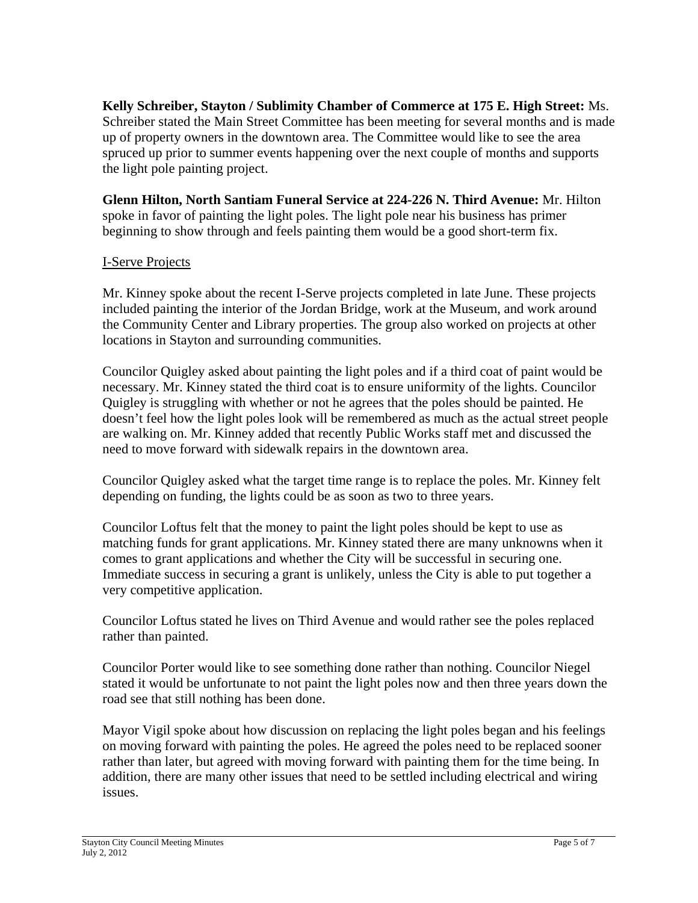**Kelly Schreiber, Stayton / Sublimity Chamber of Commerce at 175 E. High Street:** Ms. Schreiber stated the Main Street Committee has been meeting for several months and is made up of property owners in the downtown area. The Committee would like to see the area spruced up prior to summer events happening over the next couple of months and supports the light pole painting project.

**Glenn Hilton, North Santiam Funeral Service at 224-226 N. Third Avenue:** Mr. Hilton spoke in favor of painting the light poles. The light pole near his business has primer beginning to show through and feels painting them would be a good short-term fix.

# I-Serve Projects

Mr. Kinney spoke about the recent I-Serve projects completed in late June. These projects included painting the interior of the Jordan Bridge, work at the Museum, and work around the Community Center and Library properties. The group also worked on projects at other locations in Stayton and surrounding communities.

Councilor Quigley asked about painting the light poles and if a third coat of paint would be necessary. Mr. Kinney stated the third coat is to ensure uniformity of the lights. Councilor Quigley is struggling with whether or not he agrees that the poles should be painted. He doesn't feel how the light poles look will be remembered as much as the actual street people are walking on. Mr. Kinney added that recently Public Works staff met and discussed the need to move forward with sidewalk repairs in the downtown area.

Councilor Quigley asked what the target time range is to replace the poles. Mr. Kinney felt depending on funding, the lights could be as soon as two to three years.

Councilor Loftus felt that the money to paint the light poles should be kept to use as matching funds for grant applications. Mr. Kinney stated there are many unknowns when it comes to grant applications and whether the City will be successful in securing one. Immediate success in securing a grant is unlikely, unless the City is able to put together a very competitive application.

Councilor Loftus stated he lives on Third Avenue and would rather see the poles replaced rather than painted.

Councilor Porter would like to see something done rather than nothing. Councilor Niegel stated it would be unfortunate to not paint the light poles now and then three years down the road see that still nothing has been done.

Mayor Vigil spoke about how discussion on replacing the light poles began and his feelings on moving forward with painting the poles. He agreed the poles need to be replaced sooner rather than later, but agreed with moving forward with painting them for the time being. In addition, there are many other issues that need to be settled including electrical and wiring issues.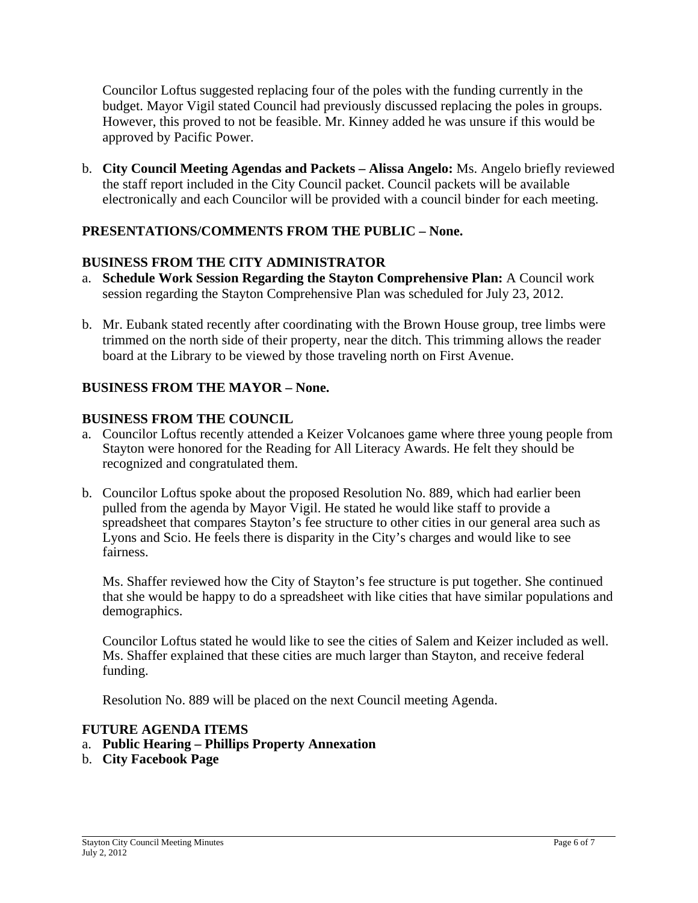Councilor Loftus suggested replacing four of the poles with the funding currently in the budget. Mayor Vigil stated Council had previously discussed replacing the poles in groups. However, this proved to not be feasible. Mr. Kinney added he was unsure if this would be approved by Pacific Power.

b. **City Council Meeting Agendas and Packets – Alissa Angelo:** Ms. Angelo briefly reviewed the staff report included in the City Council packet. Council packets will be available electronically and each Councilor will be provided with a council binder for each meeting.

# **PRESENTATIONS/COMMENTS FROM THE PUBLIC – None.**

## **BUSINESS FROM THE CITY ADMINISTRATOR**

- a. **Schedule Work Session Regarding the Stayton Comprehensive Plan:** A Council work session regarding the Stayton Comprehensive Plan was scheduled for July 23, 2012.
- b. Mr. Eubank stated recently after coordinating with the Brown House group, tree limbs were trimmed on the north side of their property, near the ditch. This trimming allows the reader board at the Library to be viewed by those traveling north on First Avenue.

## **BUSINESS FROM THE MAYOR – None.**

## **BUSINESS FROM THE COUNCIL**

- a. Councilor Loftus recently attended a Keizer Volcanoes game where three young people from Stayton were honored for the Reading for All Literacy Awards. He felt they should be recognized and congratulated them.
- b. Councilor Loftus spoke about the proposed Resolution No. 889, which had earlier been pulled from the agenda by Mayor Vigil. He stated he would like staff to provide a spreadsheet that compares Stayton's fee structure to other cities in our general area such as Lyons and Scio. He feels there is disparity in the City's charges and would like to see fairness.

Ms. Shaffer reviewed how the City of Stayton's fee structure is put together. She continued that she would be happy to do a spreadsheet with like cities that have similar populations and demographics.

Councilor Loftus stated he would like to see the cities of Salem and Keizer included as well. Ms. Shaffer explained that these cities are much larger than Stayton, and receive federal funding.

Resolution No. 889 will be placed on the next Council meeting Agenda.

## **FUTURE AGENDA ITEMS**

- a. **Public Hearing Phillips Property Annexation**
- b. **City Facebook Page**